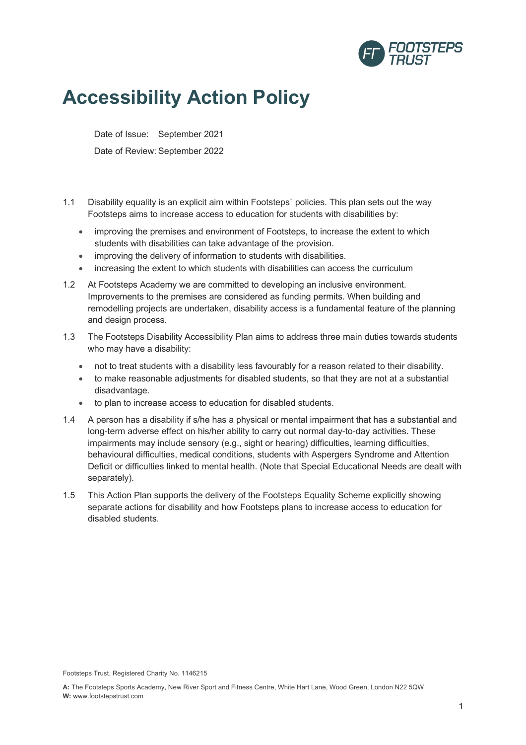

## **Accessibility Action Policy**

Date of Issue: September 2021 Date of Review: September 2022

- 1.1 Disability equality is an explicit aim within Footsteps` policies. This plan sets out the way Footsteps aims to increase access to education for students with disabilities by:
	- improving the premises and environment of Footsteps, to increase the extent to which students with disabilities can take advantage of the provision.
	- improving the delivery of information to students with disabilities.
	- increasing the extent to which students with disabilities can access the curriculum
- 1.2 At Footsteps Academy we are committed to developing an inclusive environment. Improvements to the premises are considered as funding permits. When building and remodelling projects are undertaken, disability access is a fundamental feature of the planning and design process.
- 1.3 The Footsteps Disability Accessibility Plan aims to address three main duties towards students who may have a disability:
	- not to treat students with a disability less favourably for a reason related to their disability.
	- to make reasonable adjustments for disabled students, so that they are not at a substantial disadvantage.
	- to plan to increase access to education for disabled students.
- 1.4 A person has a disability if s/he has a physical or mental impairment that has a substantial and long-term adverse effect on his/her ability to carry out normal day-to-day activities. These impairments may include sensory (e.g., sight or hearing) difficulties, learning difficulties, behavioural difficulties, medical conditions, students with Aspergers Syndrome and Attention Deficit or difficulties linked to mental health. (Note that Special Educational Needs are dealt with separately).
- 1.5 This Action Plan supports the delivery of the Footsteps Equality Scheme explicitly showing separate actions for disability and how Footsteps plans to increase access to education for disabled students.

Footsteps Trust. Registered Charity No. 1146215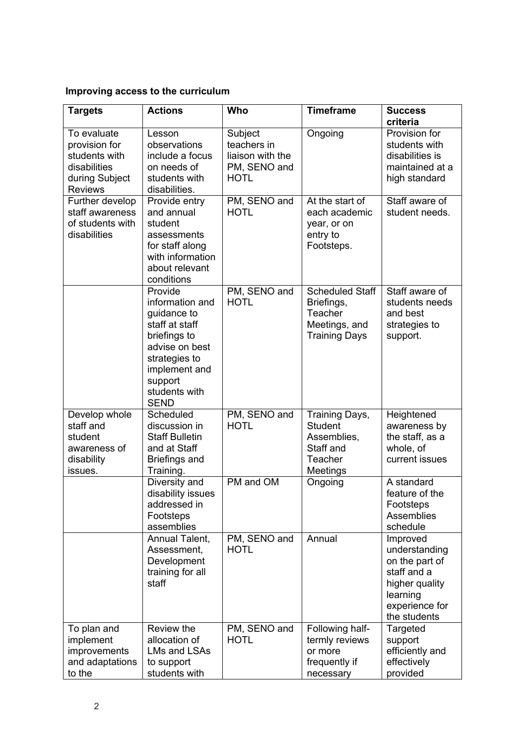## **Improving access to the curriculum**

| <b>Targets</b>                                                                                    | <b>Actions</b>                                                                                                                                                             | Who                                                                       | <b>Timeframe</b>                                                                         | <b>Success</b><br>criteria                                                                                                 |
|---------------------------------------------------------------------------------------------------|----------------------------------------------------------------------------------------------------------------------------------------------------------------------------|---------------------------------------------------------------------------|------------------------------------------------------------------------------------------|----------------------------------------------------------------------------------------------------------------------------|
| To evaluate<br>provision for<br>students with<br>disabilities<br>during Subject<br><b>Reviews</b> | Lesson<br>observations<br>include a focus<br>on needs of<br>students with<br>disabilities.                                                                                 | Subject<br>teachers in<br>liaison with the<br>PM, SENO and<br><b>HOTL</b> | Ongoing                                                                                  | Provision for<br>students with<br>disabilities is<br>maintained at a<br>high standard                                      |
| Further develop<br>staff awareness<br>of students with<br>disabilities                            | Provide entry<br>and annual<br>student<br>assessments<br>for staff along<br>with information<br>about relevant<br>conditions                                               | PM, SENO and<br><b>HOTL</b>                                               | At the start of<br>each academic<br>year, or on<br>entry to<br>Footsteps.                | Staff aware of<br>student needs.                                                                                           |
|                                                                                                   | Provide<br>information and<br>guidance to<br>staff at staff<br>briefings to<br>advise on best<br>strategies to<br>implement and<br>support<br>students with<br><b>SEND</b> | PM, SENO and<br><b>HOTL</b>                                               | <b>Scheduled Staff</b><br>Briefings,<br>Teacher<br>Meetings, and<br><b>Training Days</b> | Staff aware of<br>students needs<br>and best<br>strategies to<br>support.                                                  |
| Develop whole<br>staff and<br>student<br>awareness of<br>disability<br>issues.                    | Scheduled<br>discussion in<br><b>Staff Bulletin</b><br>and at Staff<br><b>Briefings and</b><br>Training.                                                                   | PM, SENO and<br><b>HOTL</b>                                               | Training Days,<br><b>Student</b><br>Assemblies,<br>Staff and<br>Teacher<br>Meetings      | Heightened<br>awareness by<br>the staff, as a<br>whole, of<br>current issues                                               |
|                                                                                                   | Diversity and<br>disability issues<br>addressed in<br>Footsteps<br>assemblies                                                                                              | PM and OM                                                                 | Ongoing                                                                                  | A standard<br>feature of the<br>Footsteps<br>Assemblies<br>schedule                                                        |
|                                                                                                   | Annual Talent,<br>Assessment,<br>Development<br>training for all<br>staff                                                                                                  | PM, SENO and<br><b>HOTL</b>                                               | Annual                                                                                   | Improved<br>understanding<br>on the part of<br>staff and a<br>higher quality<br>learning<br>experience for<br>the students |
| To plan and<br>implement<br>improvements<br>and adaptations<br>to the                             | Review the<br>allocation of<br>LMs and LSAs<br>to support<br>students with                                                                                                 | PM, SENO and<br><b>HOTL</b>                                               | Following half-<br>termly reviews<br>or more<br>frequently if<br>necessary               | Targeted<br>support<br>efficiently and<br>effectively<br>provided                                                          |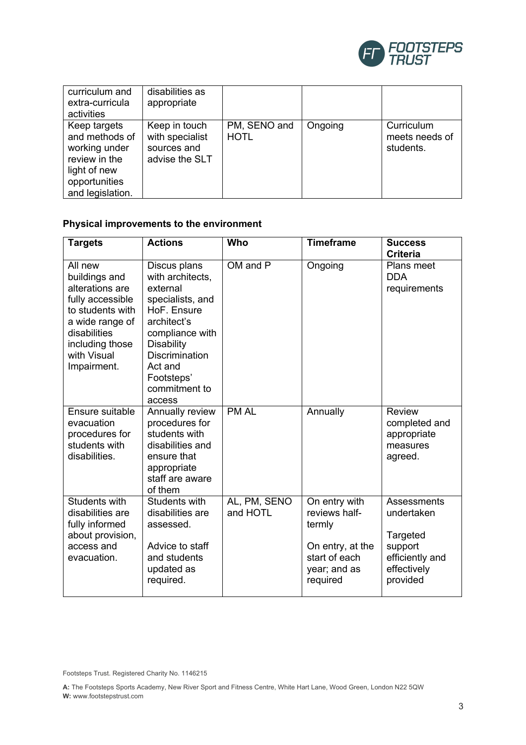

| curriculum and<br>extra-curricula<br>activities                                                                       | disabilities as<br>appropriate                                    |                             |         |                                           |
|-----------------------------------------------------------------------------------------------------------------------|-------------------------------------------------------------------|-----------------------------|---------|-------------------------------------------|
| Keep targets<br>and methods of<br>working under<br>review in the<br>light of new<br>opportunities<br>and legislation. | Keep in touch<br>with specialist<br>sources and<br>advise the SLT | PM, SENO and<br><b>HOTL</b> | Ongoing | Curriculum<br>meets needs of<br>students. |

## **Physical improvements to the environment**

| <b>Targets</b>                                                                                                                                                          | <b>Actions</b>                                                                                                                                                                                                      | Who                      | <b>Timeframe</b>                                                                                          | <b>Success</b>                                                                                 |
|-------------------------------------------------------------------------------------------------------------------------------------------------------------------------|---------------------------------------------------------------------------------------------------------------------------------------------------------------------------------------------------------------------|--------------------------|-----------------------------------------------------------------------------------------------------------|------------------------------------------------------------------------------------------------|
|                                                                                                                                                                         |                                                                                                                                                                                                                     |                          |                                                                                                           | <b>Criteria</b>                                                                                |
| All new<br>buildings and<br>alterations are<br>fully accessible<br>to students with<br>a wide range of<br>disabilities<br>including those<br>with Visual<br>Impairment. | Discus plans<br>with architects,<br>external<br>specialists, and<br>HoF. Ensure<br>architect's<br>compliance with<br><b>Disability</b><br><b>Discrimination</b><br>Act and<br>Footsteps'<br>commitment to<br>access | OM and P                 | Ongoing                                                                                                   | Plans meet<br><b>DDA</b><br>requirements                                                       |
| Ensure suitable<br>evacuation<br>procedures for<br>students with<br>disabilities.                                                                                       | Annually review<br>procedures for<br>students with<br>disabilities and<br>ensure that<br>appropriate<br>staff are aware<br>of them                                                                                  | <b>PM AL</b>             | Annually                                                                                                  | <b>Review</b><br>completed and<br>appropriate<br>measures<br>agreed.                           |
| Students with<br>disabilities are<br>fully informed<br>about provision,<br>access and<br>evacuation.                                                                    | Students with<br>disabilities are<br>assessed.<br>Advice to staff<br>and students<br>updated as<br>required.                                                                                                        | AL, PM, SENO<br>and HOTL | On entry with<br>reviews half-<br>termly<br>On entry, at the<br>start of each<br>year; and as<br>required | Assessments<br>undertaken<br>Targeted<br>support<br>efficiently and<br>effectively<br>provided |

Footsteps Trust. Registered Charity No. 1146215